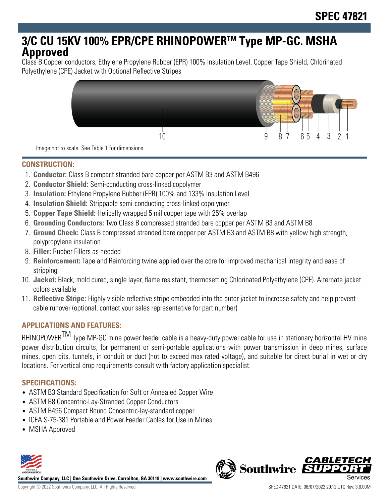# **3/C CU 15KV 100% EPR/CPE RHINOPOWERTM Type MP-GC. MSHA Approved**

Class B Copper conductors, Ethylene Propylene Rubber (EPR) 100% Insulation Level, Copper Tape Shield, Chlorinated Polyethylene (CPE) Jacket with Optional Reflective Stripes



Image not to scale. See Table 1 for dimensions.

### **CONSTRUCTION:**

- 1. **Conductor:** Class B compact stranded bare copper per ASTM B3 and ASTM B496
- 2. **Conductor Shield:** Semi-conducting cross-linked copolymer
- 3. **Insulation:** Ethylene Propylene Rubber (EPR) 100% and 133% Insulation Level
- 4. **Insulation Shield:** Strippable semi-conducting cross-linked copolymer
- 5. **Copper Tape Shield:** Helically wrapped 5 mil copper tape with 25% overlap
- 6. **Grounding Conductors:** Two Class B compressed stranded bare copper per ASTM B3 and ASTM B8
- 7. **Ground Check:** Class B compressed stranded bare copper per ASTM B3 and ASTM B8 with yellow high strength, polypropylene insulation
- 8. **Filler:** Rubber Fillers as needed
- 9. **Reinforcement:** Tape and Reinforcing twine applied over the core for improved mechanical integrity and ease of stripping
- 10. **Jacket:** Black, mold cured, single layer, flame resistant, thermosetting Chlorinated Polyethylene (CPE). Alternate jacket colors available
- 11. **Reflective Stripe:** Highly visible reflective stripe embedded into the outer jacket to increase safety and help prevent cable runover (optional, contact your sales representative for part number)

# **APPLICATIONS AND FEATURES:**

RHINOPOWER<sup>TM</sup> Type MP-GC mine power feeder cable is a heavy-duty power cable for use in stationary horizontal HV mine power distribution circuits, for permanent or semi-portable applications with power transmission in deep mines, surface mines, open pits, tunnels, in conduit or duct (not to exceed max rated voltage), and suitable for direct burial in wet or dry locations. For vertical drop requirements consult with factory application specialist.

# **SPECIFICATIONS:**

- ASTM B3 Standard Specification for Soft or Annealed Copper Wire
- ASTM B8 Concentric-Lay-Stranded Copper Conductors
- ASTM B496 Compact Round Concentric-lay-standard copper
- ICEA S-75-381 Portable and Power Feeder Cables for Use in Mines
- MSHA Approved



**Southwire Company, LLC | One Southwire Drive, Carrollton, GA 30119 | www.southwire.com**

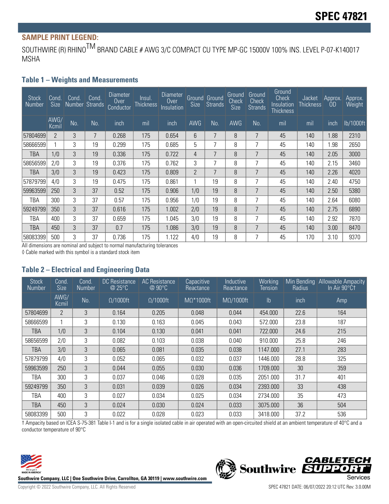# **SAMPLE PRINT LEGEND:**

SOUTHWIRE (R) RHINO<sup>TM</sup> BRAND CABLE # AWG 3/C COMPACT CU TYPE MP-GC 15000V 100% INS. LEVEL P-07-K140017 MSHA

#### **Table 1 – Weights and Measurements**

| <b>Stock</b><br>Number | Cond.<br><b>Size</b> | Cond | Cond.<br>Number Strands | Diameter<br><b>Over</b><br>Conductor | Insul.<br><b>Thickness</b> | Diameter<br><b>Over</b><br>Insulation | <b>Size</b>    | <b>Ground</b> Ground<br>Strands | Ground<br>Check<br>Size | Ground<br>Check<br><b>Strands</b> | Ground<br><b>Check</b><br>Insulation<br>Thickness | Jacket<br><b>Thickness</b> | Approx.<br><b>OD</b> | Approx.<br>Weight |
|------------------------|----------------------|------|-------------------------|--------------------------------------|----------------------------|---------------------------------------|----------------|---------------------------------|-------------------------|-----------------------------------|---------------------------------------------------|----------------------------|----------------------|-------------------|
|                        | AWG/<br>Kcmil        | No.  | No.                     | inch                                 | mil                        | inch                                  | <b>AWG</b>     | No.                             | <b>AWG</b>              | No.                               | mil                                               | mil                        | inch                 | lb/1000ft         |
| 57804699               | $\overline{2}$       | 3    | 7                       | 0.268                                | 175                        | 0.654                                 | 6              | 7                               | 8                       | 7                                 | 45                                                | 140                        | 1.88                 | 2310              |
| 58666599               |                      | 3    | 19                      | 0.299                                | 175                        | 0.685                                 | 5              | 7                               | 8                       | 7                                 | 45                                                | 140                        | 1.98                 | 2650              |
| <b>TBA</b>             | 1/0                  | 3    | 19                      | 0.336                                | 175                        | 0.722                                 | 4              | 7                               | 8                       | $\overline{7}$                    | 45                                                | 140                        | 2.05                 | 3000              |
| 58656599               | 2/0                  | 3    | 19                      | 0.376                                | 175                        | 0.762                                 | 3              | ⇁                               | 8                       | 7                                 | 45                                                | 140                        | 2.15                 | 3460              |
| TBA                    | 3/0                  | 3    | 19                      | 0.423                                | 175                        | 0.809                                 | $\overline{2}$ | 7                               | 8                       | 7                                 | 45                                                | 140                        | 2.26                 | 4020              |
| 57879799               | 4/0                  | 3    | 19                      | 0.475                                | 175                        | 0.861                                 | 1              | 19                              | 8                       | 7                                 | 45                                                | 140                        | 2.40                 | 4750              |
| 59963599               | 250                  | 3    | 37                      | 0.52                                 | 175                        | 0.906                                 | 1/0            | 19                              | 8                       | 7                                 | 45                                                | 140                        | 2.50                 | 5380              |
| TBA                    | 300                  | 3    | 37                      | 0.57                                 | 175                        | 0.956                                 | 1/0            | 19                              | 8                       | 7                                 | 45                                                | 140                        | 2.64                 | 6080              |
| 59249799               | 350                  | 3    | 37                      | 0.616                                | 175                        | 1.002                                 | 2/0            | 19                              | 8                       | 7                                 | 45                                                | 140                        | 2.75                 | 6890              |
| TBA                    | 400                  | 3    | 37                      | 0.659                                | 175                        | 1.045                                 | 3/0            | 19                              | 8                       | 7                                 | 45                                                | 140                        | 2.92                 | 7870              |
| TBA                    | 450                  | 3    | 37                      | 0.7                                  | 175                        | 1.086                                 | 3/0            | 19                              | 8                       | 7                                 | 45                                                | 140                        | 3.00                 | 8470              |
| 58083399               | 500                  | 3    | 37                      | 0.736                                | 175                        | 1.122                                 | 4/0            | 19                              | 8                       | 7                                 | 45                                                | 170                        | 3.10                 | 9370              |

All dimensions are nominal and subject to normal manufacturing tolerances

◊ Cable marked with this symbol is a standard stock item

#### **Table 2 – Electrical and Engineering Data**

| <b>Stock</b><br>Number | Cond.<br><b>Size</b> | Cond.<br><b>Number</b> | <b>DC</b> Resistance<br>@ 25°C | <b>AC</b> Resistance<br>@ 90°C | Capacitive<br>Reactance | Inductive<br>Reactance | Working<br><b>Tension</b> | Min Bending<br>Radius | <b>Allowable Ampacity</b><br>In Air 90°Ct |
|------------------------|----------------------|------------------------|--------------------------------|--------------------------------|-------------------------|------------------------|---------------------------|-----------------------|-------------------------------------------|
|                        | AWG/<br>Kcmil        | No.                    | $\Omega/1000$ ft               | $\Omega/1000$ ft               | $M\Omega^*1000$ ft      | $M\Omega/1000$ ft      | $\mathsf{lb}$             | inch                  | Amp                                       |
| 57804699               | $\overline{2}$       | 3                      | 0.164                          | 0.205                          | 0.048                   | 0.044                  | 454.000                   | 22.6                  | 164                                       |
| 58666599               | 1                    | 3                      | 0.130                          | 0.163                          | 0.045                   | 0.043                  | 572.000                   | 23.8                  | 187                                       |
| TBA                    | 1/0                  | 3                      | 0.104                          | 0.130                          | 0.041                   | 0.041                  | 722.000                   | 24.6                  | 215                                       |
| 58656599               | 2/0                  | 3                      | 0.082                          | 0.103                          | 0.038                   | 0.040                  | 910.000                   | 25.8                  | 246                                       |
| TBA                    | 3/0                  | 3                      | 0.065                          | 0.081                          | 0.035                   | 0.038                  | 1147.000                  | 27.1                  | 283                                       |
| 57879799               | 4/0                  | 3                      | 0.052                          | 0.065                          | 0.032                   | 0.037                  | 1446.000                  | 28.8                  | 325                                       |
| 59963599               | 250                  | 3                      | 0.044                          | 0.055                          | 0.030                   | 0.036                  | 1709.000                  | 30                    | 359                                       |
| TBA                    | 300                  | 3                      | 0.037                          | 0.046                          | 0.028                   | 0.035                  | 2051.000                  | 31.7                  | 401                                       |
| 59249799               | 350                  | 3                      | 0.031                          | 0.039                          | 0.026                   | 0.034                  | 2393.000                  | 33                    | 438                                       |
| TBA                    | 400                  | 3                      | 0.027                          | 0.034                          | 0.025                   | 0.034                  | 2734.000                  | 35                    | 473                                       |
| TBA                    | 450                  | 3                      | 0.024                          | 0.030                          | 0.024                   | 0.033                  | 3075.000                  | 36                    | 504                                       |
| 58083399               | 500                  | 3                      | 0.022                          | 0.028                          | 0.023                   | 0.033                  | 3418.000                  | 37.2                  | 536                                       |

† Ampacity based on ICEA S-75-381 Table I-1 and is for a single isolated cable in air operated with an open-circuited shield at an ambient temperature of 40°C and a conductor temperature of 90°C



**Southwire Company, LLC | One Southwire Drive, Carrollton, GA 30119 | www.southwire.com**

Southwire SUPP

**CABLETECH** 

OI: